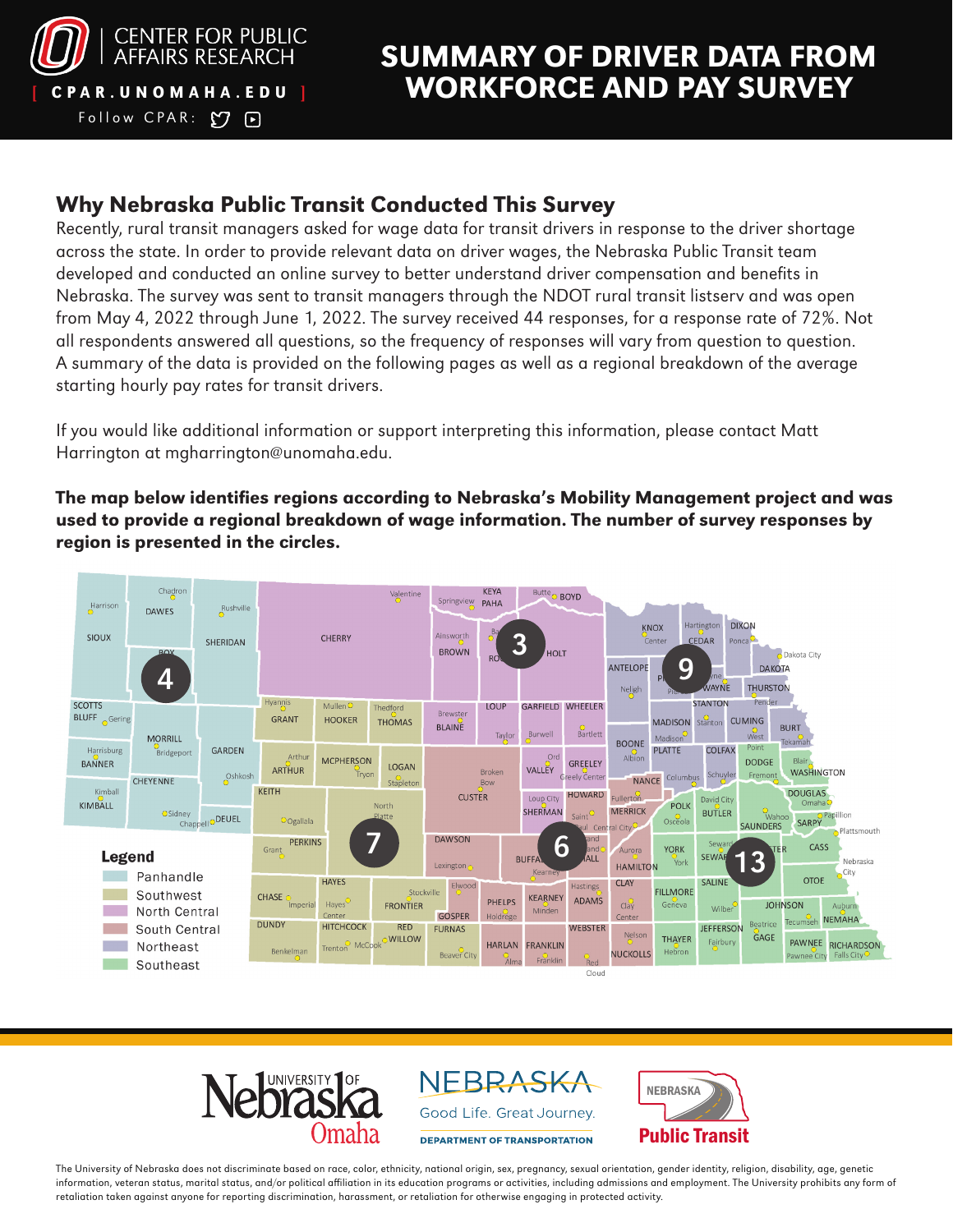

Follow CPAR:  $O$  P

# SUMMARY OF DRIVER DATA FROM CPAR.UNOMAHA.EDU | WORKFORCE AND PAY SURVEY

### Why Nebraska Public Transit Conducted This Survey

Recently, rural transit managers asked for wage data for transit drivers in response to the driver shortage across the state. In order to provide relevant data on driver wages, the Nebraska Public Transit team developed and conducted an online survey to better understand driver compensation and benefits in Nebraska. The survey was sent to transit managers through the NDOT rural transit listserv and was open from May 4, 2022 through June 1, 2022. The survey received 44 responses, for a response rate of 72%. Not all respondents answered all questions, so the frequency of responses will vary from question to question. A summary of the data is provided on the following pages as well as a regional breakdown of the average starting hourly pay rates for transit drivers.

If you would like additional information or support interpreting this information, please contact Matt Harrington at mgharrington@unomaha.edu.

The map below identifies regions according to Nebraska's Mobility Management project and was used to provide a regional breakdown of wage information. The number of survey responses by region is presented in the circles.





NEBRASKA Good Life. Great Journey.

**DEPARTMENT OF TRANSPORTATION** 



The University of Nebraska does not discriminate based on race, color, ethnicity, national origin, sex, pregnancy, sexual orientation, gender identity, religion, disability, age, genetic information, veteran status, marital status, and/or political affiliation in its education programs or activities, including admissions and employment. The University prohibits any form of retaliation taken against anyone for reporting discrimination, harassment, or retaliation for otherwise engaging in protected activity.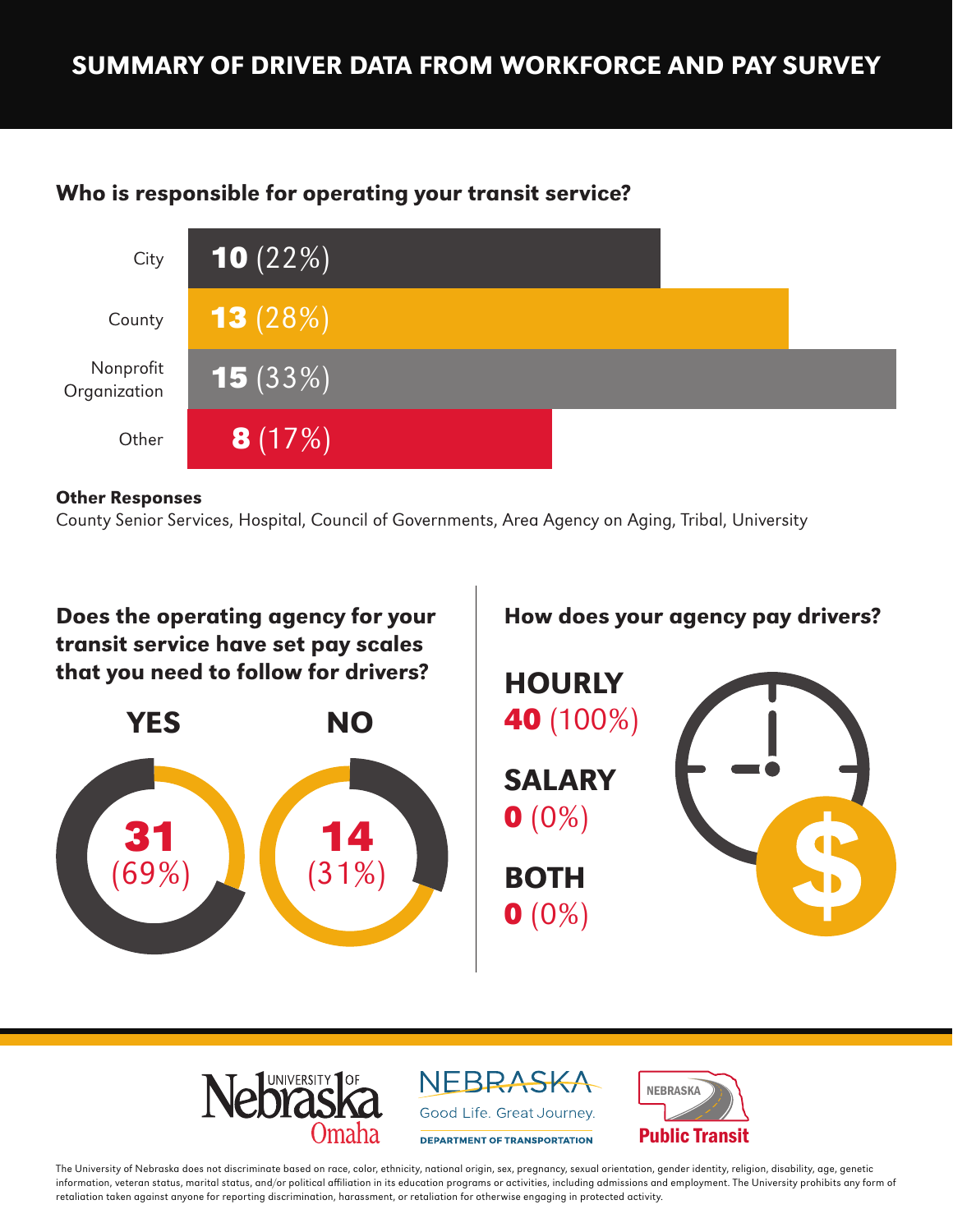## SUMMARY OF DRIVER DATA FROM WORKFORCE AND PAY SURVEY

## Who is responsible for operating your transit service?



#### Other Responses

County Senior Services, Hospital, Council of Governments, Area Agency on Aging, Tribal, University





NEBRASKA Good Life. Great Journey. **DEPARTMENT OF TRANSPORTATION** 



The University of Nebraska does not discriminate based on race, color, ethnicity, national origin, sex, pregnancy, sexual orientation, gender identity, religion, disability, age, genetic information, veteran status, marital status, and/or political affiliation in its education programs or activities, including admissions and employment. The University prohibits any form of retaliation taken against anyone for reporting discrimination, harassment, or retaliation for otherwise engaging in protected activity.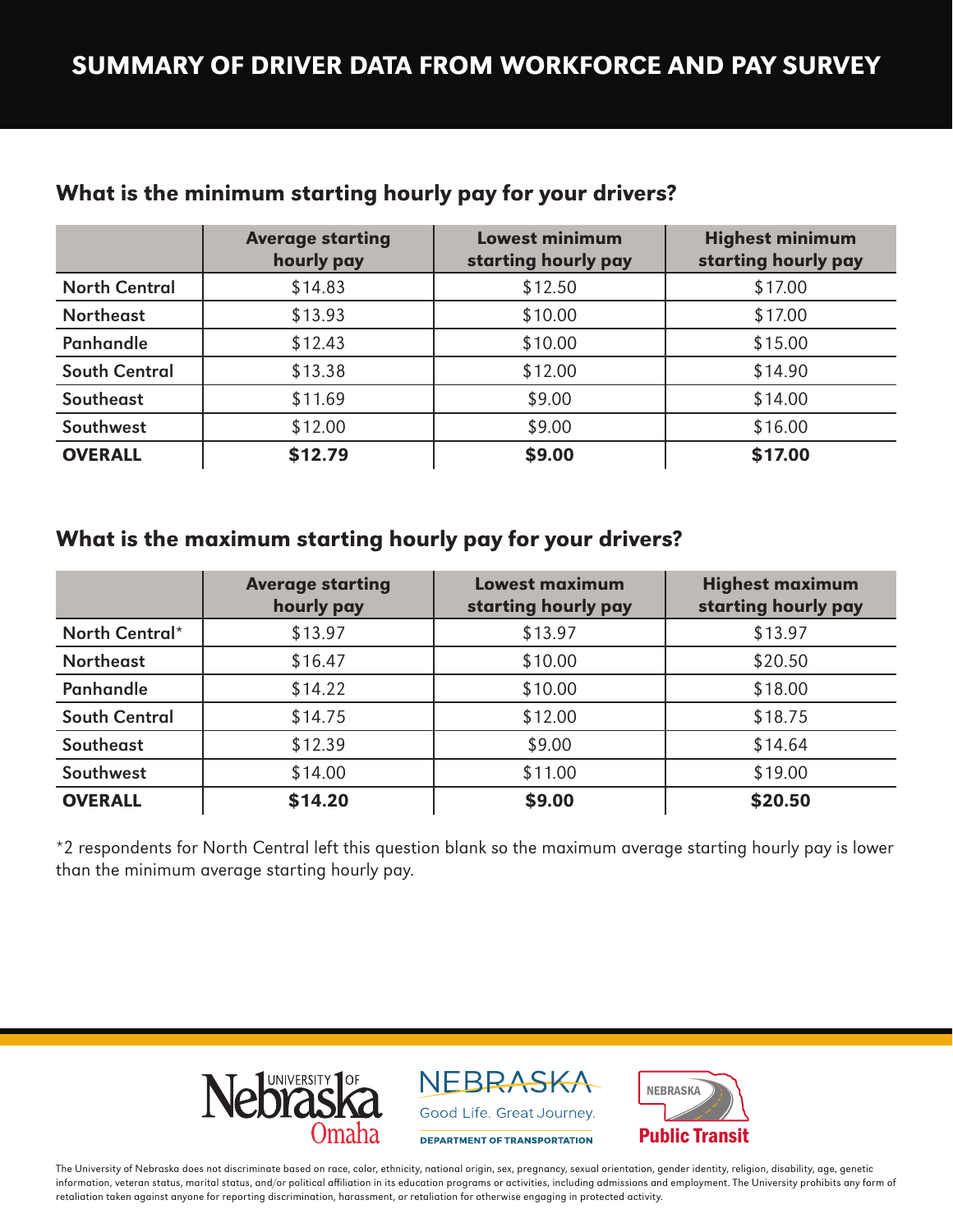## SUMMARY OF DRIVER DATA FROM WORKFORCE AND PAY SURVEY

|                      | <b>Average starting</b><br>hourly pay | <b>Lowest minimum</b><br>starting hourly pay | <b>Highest minimum</b><br>starting hourly pay |
|----------------------|---------------------------------------|----------------------------------------------|-----------------------------------------------|
| <b>North Central</b> | \$14.83                               | \$12.50                                      | \$17.00                                       |
| <b>Northeast</b>     | \$13.93                               | \$10.00                                      | \$17.00                                       |
| <b>Panhandle</b>     | \$12.43                               | \$10.00                                      | \$15.00                                       |
| <b>South Central</b> | \$13.38                               | \$12.00                                      | \$14.90                                       |
| Southeast            | \$11.69                               | \$9.00                                       | \$14.00                                       |
| Southwest            | \$12.00                               | \$9.00                                       | \$16.00                                       |
| <b>OVERALL</b>       | \$12.79                               | \$9.00                                       | \$17.00                                       |

#### What is the minimum starting hourly pay for your drivers?

#### What is the maximum starting hourly pay for your drivers?

|                      | <b>Average starting</b><br>hourly pay | <b>Lowest maximum</b><br>starting hourly pay | <b>Highest maximum</b><br>starting hourly pay |
|----------------------|---------------------------------------|----------------------------------------------|-----------------------------------------------|
| North Central*       | \$13.97                               | \$13.97                                      | \$13.97                                       |
| <b>Northeast</b>     | \$16.47                               | \$10.00                                      | \$20.50                                       |
| <b>Panhandle</b>     | \$14.22                               | \$10.00                                      | \$18.00                                       |
| <b>South Central</b> | \$14.75                               | \$12.00                                      | \$18.75                                       |
| Southeast            | \$12.39                               | \$9.00                                       | \$14.64                                       |
| Southwest            | \$14.00                               | \$11.00                                      | \$19.00                                       |
| <b>OVERALL</b>       | \$14.20                               | \$9.00                                       | \$20.50                                       |

\*2 respondents for North Central left this question blank so the maximum average starting hourly pay is lower than the minimum average starting hourly pay.



NEBRASKA Good Life. Great Journey.

DEPARTMENT OF TRANSPORTATION



The University of Nebraska does not discriminate based on race, color, ethnicity, national origin, sex, pregnancy, sexual orientation, gender identity, religion, disability, age, genetic information, veteran status, marital status, and/or political affiliation in its education programs or activities, including admissions and employment. The University prohibits any form of retaliation taken against anyone for reporting discrimination, harassment, or retaliation for otherwise engaging in protected activity.